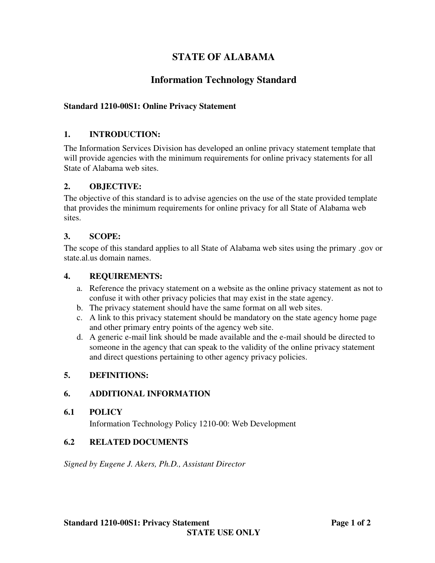# **STATE OF ALABAMA**

# **Information Technology Standard**

## **Standard 1210-00S1: Online Privacy Statement**

### **1. INTRODUCTION:**

The Information Services Division has developed an online privacy statement template that will provide agencies with the minimum requirements for online privacy statements for all State of Alabama web sites.

#### **2. OBJECTIVE:**

The objective of this standard is to advise agencies on the use of the state provided template that provides the minimum requirements for online privacy for all State of Alabama web sites.

### **3. SCOPE:**

The scope of this standard applies to all State of Alabama web sites using the primary .gov or state.al.us domain names.

#### **4. REQUIREMENTS:**

- a. Reference the privacy statement on a website as the online privacy statement as not to confuse it with other privacy policies that may exist in the state agency.
- b. The privacy statement should have the same format on all web sites.
- c. A link to this privacy statement should be mandatory on the state agency home page and other primary entry points of the agency web site.
- d. A generic e-mail link should be made available and the e-mail should be directed to someone in the agency that can speak to the validity of the online privacy statement and direct questions pertaining to other agency privacy policies.

#### **5. DEFINITIONS:**

#### **6. ADDITIONAL INFORMATION**

#### **6.1 POLICY**

Information Technology Policy 1210-00: Web Development

#### **6.2 RELATED DOCUMENTS**

*Signed by Eugene J. Akers, Ph.D., Assistant Director*